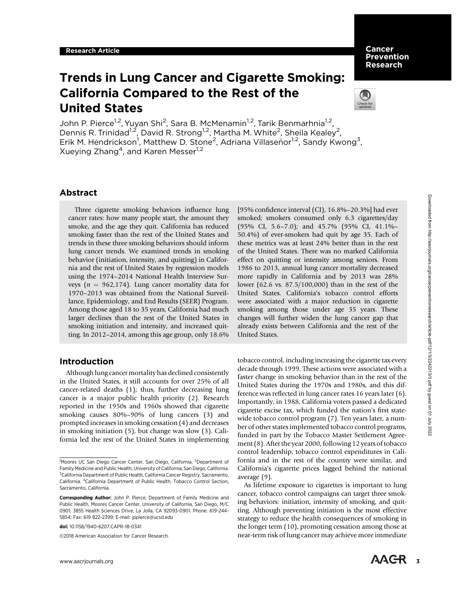Cancer Prevention Research

# Trends in Lung Cancer and Cigarette Smoking: California Compared to the Rest of the United States



John P. Pierce<sup>1,2</sup>, Yuyan Shi<sup>2</sup>, Sara B. McMenamin<sup>1,2</sup>, Tarik Benmarhnia<sup>1,2</sup>, Dennis R. Trinidad<sup>1,2</sup>, David R. Strong<sup>1,2</sup>, Martha M. White<sup>2</sup>, Sheila Kealey<sup>2</sup>, Erik M. Hendrickson<sup>1</sup>, Matthew D. Stone<sup>2</sup>, Adriana Villaseñor<sup>1,2</sup>, Sandy Kwong<sup>3</sup>, Xueying Zhang<sup>4</sup>, and Karen Messer<sup>1,2</sup>

# Abstract

Three cigarette smoking behaviors influence lung cancer rates: how many people start, the amount they smoke, and the age they quit. California has reduced smoking faster than the rest of the United States and trends in these three smoking behaviors should inform lung cancer trends. We examined trends in smoking behavior (initiation, intensity, and quitting) in California and the rest of United States by regression models using the 1974–2014 National Health Interview Surveys ( $n = 962,174$ ). Lung cancer mortality data for 1970–2013 was obtained from the National Surveillance, Epidemiology, and End Results (SEER) Program. Among those aged 18 to 35 years, California had much larger declines than the rest of the United States in smoking initiation and intensity, and increased quitting. In 2012–2014, among this age group, only 18.6%

# Introduction

Although lung cancer mortality has declined consistently in the United States, it still accounts for over 25% of all cancer-related deaths (1); thus, further decreasing lung cancer is a major public health priority (2). Research reported in the 1950s and 1960s showed that cigarette smoking causes 80%–90% of lung cancers (3) and prompted increases in smoking cessation (4) and decreases in smoking initiation (5), but change was slow (3). California led the rest of the United States in implementing

doi: 10.1158/1940-6207.CAPR-18-0341

2018 American Association for Cancer Research.

Downloaded from http://aacrjournals.org/cancerpreventionresearch/article-pdf/12/1/3/242213/3 pdf by guest on 01 July 2022 Downloaded from http://aacrjournals.org/cancerpreventionresearch/article-pdf/12/1/3/2242213/3.pdf by guest on 01 July 2022

[95% confidence interval (CI), 16.8%–20.3%] had ever smoked; smokers consumed only 6.3 cigarettes/day (95% CI, 5.6–7.0); and 45.7% (95% CI, 41.1%– 50.4%) of ever-smokers had quit by age 35. Each of these metrics was at least 24% better than in the rest of the United States. There was no marked California effect on quitting or intensity among seniors. From 1986 to 2013, annual lung cancer mortality decreased more rapidly in California and by 2013 was 28% lower (62.6 vs. 87.5/100,000) than in the rest of the United States. California's tobacco control efforts were associated with a major reduction in cigarette smoking among those under age 35 years. These changes will further widen the lung cancer gap that already exists between California and the rest of the United States.

tobacco control, including increasing the cigarette tax every decade through 1999. These actions were associated with a faster change in smoking behavior than in the rest of the United States during the 1970s and 1980s, and this difference was reflected in lung cancer rates 16 years later (6). Importantly, in 1988, California voters passed a dedicated cigarette excise tax, which funded the nation's first statewide tobacco control program (7). Ten years later, a number of other states implemented tobacco control programs, funded in part by the Tobacco Master Settlement Agreement (8). After the year 2000, following 12 years of tobacco control leadership, tobacco control expenditures in California and in the rest of the country were similar, and California's cigarette prices lagged behind the national average (9).

As lifetime exposure to cigarettes is important to lung cancer, tobacco control campaigns can target three smoking behaviors: initiation, intensity of smoking, and quitting. Although preventing initiation is the most effective strategy to reduce the health consequences of smoking in the longer term (10), promoting cessation among those at near-term risk of lung cancer may achieve more immediate

<sup>&</sup>lt;sup>1</sup>Moores UC San Diego Cancer Center, San Diego, California. <sup>2</sup>Department of Family Medicine and Public Health, University of California, San Diego, California. <sup>3</sup>California Department of Public Health, California Cancer Registry, Sacramento, California. <sup>4</sup>California Department of Public Health, Tobacco Control Section, Sacramento, California.

Corresponding Author: John P. Pierce, Department of Family Medicine and Public Health, Moores Cancer Center, University of California, San Diego, M/C 0901, 3855 Health Sciences Drive, La Jolla, CA 92093-0901. Phone: 619-244- 5854; Fax: 619 822-2399; E-mail: jppierce@ucsd.edu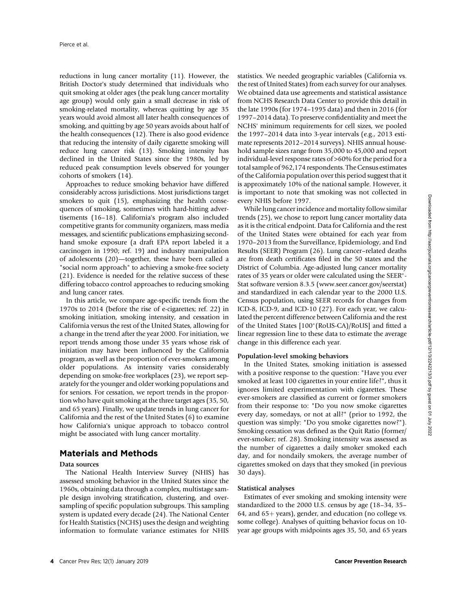reductions in lung cancer mortality (11). However, the British Doctor's study determined that individuals who quit smoking at older ages (the peak lung cancer mortality age group) would only gain a small decrease in risk of smoking-related mortality, whereas quitting by age 35 years would avoid almost all later health consequences of smoking, and quitting by age 50 years avoids about half of the health consequences (12). There is also good evidence that reducing the intensity of daily cigarette smoking will reduce lung cancer risk (13). Smoking intensity has declined in the United States since the 1980s, led by reduced peak consumption levels observed for younger cohorts of smokers (14).

Approaches to reduce smoking behavior have differed considerably across jurisdictions. Most jurisdictions target smokers to quit (15), emphasizing the health consequences of smoking, sometimes with hard-hitting advertisements (16–18). California's program also included competitive grants for community organizers, mass media messages, and scientific publications emphasizing secondhand smoke exposure (a draft EPA report labeled it a carcinogen in 1990; ref. 19) and industry manipulation of adolescents (20)—together, these have been called a "social norm approach" to achieving a smoke-free society (21). Evidence is needed for the relative success of these differing tobacco control approaches to reducing smoking and lung cancer rates.

In this article, we compare age-specific trends from the 1970s to 2014 (before the rise of e-cigarettes; ref. 22) in smoking initiation, smoking intensity, and cessation in California versus the rest of the United States, allowing for a change in the trend after the year 2000. For initiation, we report trends among those under 35 years whose risk of initiation may have been influenced by the California program, as well as the proportion of ever-smokers among older populations. As intensity varies considerably depending on smoke-free workplaces (23), we report separately for the younger and older working populations and for seniors. For cessation, we report trends in the proportion who have quit smoking at the three target ages (35, 50, and 65 years). Finally, we update trends in lung cancer for California and the rest of the United States (6) to examine how California's unique approach to tobacco control might be associated with lung cancer mortality.

# Materials and Methods

# Data sources

The National Health Interview Survey (NHIS) has assessed smoking behavior in the United States since the 1960s, obtaining data through a complex, multistage sample design involving stratification, clustering, and oversampling of specific population subgroups. This sampling system is updated every decade (24). The National Center for Health Statistics (NCHS) uses the design and weighting information to formulate variance estimates for NHIS

statistics. We needed geographic variables (California vs. the rest of United States) from each survey for our analyses. We obtained data use agreements and statistical assistance from NCHS Research Data Center to provide this detail in the late 1990s (for 1974–1995 data) and then in 2016 (for 1997–2014 data). To preserve confidentiality and meet the NCHS' minimum requirements for cell sizes, we pooled the 1997–2014 data into 3-year intervals (e.g., 2013 estimate represents 2012–2014 surveys). NHIS annual household sample sizes range from 35,000 to 45,000 and report individual-level response rates of >60% for the period for a total sample of 962,174 respondents. The Census estimates of the California population over this period suggest that it is approximately 10% of the national sample. However, it is important to note that smoking was not collected in every NHIS before 1997.

While lung cancer incidence and mortality follow similar trends (25), we chose to report lung cancer mortality data as it is the critical endpoint. Data for California and the rest of the United States were obtained for each year from 1970–2013 from the Surveillance, Epidemiology, and End Results (SEER) Program (26). Lung cancer–related deaths are from death certificates filed in the 50 states and the District of Columbia. Age-adjusted lung cancer mortality rates of 35 years or older were calculated using the SEER<sup>\*</sup>-Stat software version 8.3.5 (<www.seer.cancer.gov/seerstat>) and standardized in each calendar year to the 2000 U.S. Census population, using SEER records for changes from ICD-8, ICD-9, and ICD-10 (27). For each year, we calculated the percent difference between California and the rest of the United States [100\*(RoUS-CA)/RoUS] and fitted a linear regression line to these data to estimate the average change in this difference each year.

## Population-level smoking behaviors

In the United States, smoking initiation is assessed with a positive response to the question: "Have you ever smoked at least 100 cigarettes in your entire life?", thus it ignores limited experimentation with cigarettes. These ever-smokers are classified as current or former smokers from their response to: "Do you now smoke cigarettes every day, somedays, or not at all?" (prior to 1992, the question was simply: "Do you smoke cigarettes now?"). Smoking cessation was defined as the Quit Ratio (former/ ever-smoker; ref. 28). Smoking intensity was assessed as the number of cigarettes a daily smoker smoked each day, and for nondaily smokers, the average number of cigarettes smoked on days that they smoked (in previous 30 days).

## Statistical analyses

Estimates of ever smoking and smoking intensity were standardized to the 2000 U.S. census by age (18–34, 35– 64, and 65+ years), gender, and education (no college vs. some college). Analyses of quitting behavior focus on 10 year age groups with midpoints ages 35, 50, and 65 years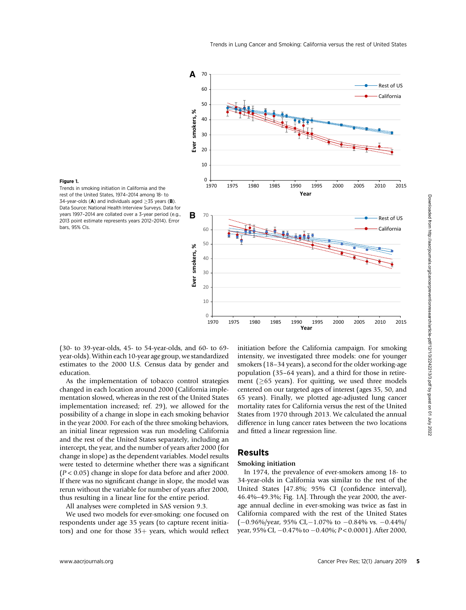

#### Figure 1.

Trends in smoking initiation in California and the rest of the United States, 1974–2014 among 18- to 34-year-olds (A) and individuals aged  $\geq$ 35 years (B). Data Source: National Health Interview Surveys. Data for years 1997–2014 are collated over a 3-year period (e.g., 2013 point estimate represents years 2012–2014). Error bars, 95% CIs.

(30- to 39-year-olds, 45- to 54-year-olds, and 60- to 69 year-olds). Within each 10-year age group, we standardized estimates to the 2000 U.S. Census data by gender and education.

As the implementation of tobacco control strategies changed in each location around 2000 (California implementation slowed, whereas in the rest of the United States implementation increased; ref. 29), we allowed for the possibility of a change in slope in each smoking behavior in the year 2000. For each of the three smoking behaviors, an initial linear regression was run modeling California and the rest of the United States separately, including an intercept, the year, and the number of years after 2000 (for change in slope) as the dependent variables. Model results were tested to determine whether there was a significant  $(P < 0.05)$  change in slope for data before and after 2000. If there was no significant change in slope, the model was rerun without the variable for number of years after 2000, thus resulting in a linear line for the entire period.

All analyses were completed in SAS version 9.3.

We used two models for ever-smoking: one focused on respondents under age 35 years (to capture recent initiators) and one for those  $35+$  years, which would reflect initiation before the California campaign. For smoking intensity, we investigated three models: one for younger smokers (18–34 years), a second for the older working-age population (35–64 years), and a third for those in retirement ( $\geq$ 65 years). For quitting, we used three models centered on our targeted ages of interest (ages 35, 50, and 65 years). Finally, we plotted age-adjusted lung cancer mortality rates for California versus the rest of the United States from 1970 through 2013. We calculated the annual difference in lung cancer rates between the two locations and fitted a linear regression line.

# Results

# Smoking initiation

In 1974, the prevalence of ever-smokers among 18- to 34-year-olds in California was similar to the rest of the United States [47.8%; 95% CI (confidence interval), 46.4%–49.3%; Fig. 1A]. Through the year 2000, the average annual decline in ever-smoking was twice as fast in California compared with the rest of the United States  $(-0.96\%/year, 95\% CI, -1.07\% to -0.84\% vs. -0.44\%/$ year, 95% CI,  $-0.47%$  to  $-0.40%$ ;  $P < 0.0001$ ). After 2000,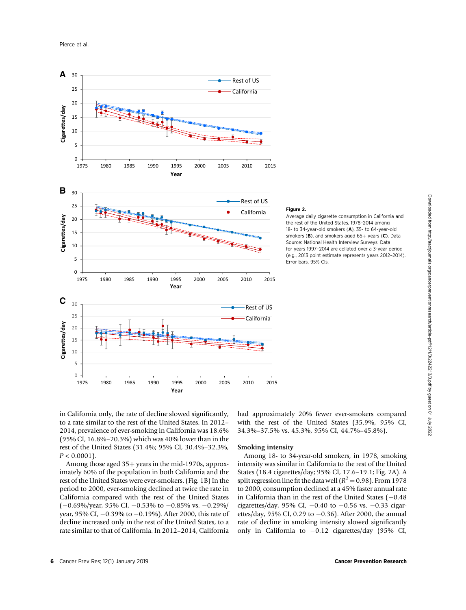Pierce et al.



#### Figure 2.

Average daily cigarette consumption in California and the rest of the United States, 1978–2014 among 18- to 34-year-old smokers (A), 35- to 64-year-old smokers (B), and smokers aged  $65+$  years (C). Data Source: National Health Interview Surveys. Data for years 1997–2014 are collated over a 3-year period (e.g., 2013 point estimate represents years 2012–2014). Error bars, 95% CIs.

in California only, the rate of decline slowed significantly, to a rate similar to the rest of the United States. In 2012– 2014, prevalence of ever-smoking in California was 18.6% (95% CI, 16.8%–20.3%) which was 40% lower than in the rest of the United States (31.4%; 95% CI, 30.4%–32.3%,  $P < 0.0001$ ).

Among those aged  $35+$  years in the mid-1970s, approximately 60% of the population in both California and the rest of the United States were ever-smokers. (Fig. 1B) In the period to 2000, ever-smoking declined at twice the rate in California compared with the rest of the United States  $(-0.69\%/year, 95\% CI, -0.53\% to -0.85\% vs. -0.29\%/$ year, 95% CI,  $-0.39%$  to  $-0.19%$ ). After 2000, this rate of decline increased only in the rest of the United States, to a rate similar to that of California. In 2012–2014, California had approximately 20% fewer ever-smokers compared with the rest of the United States (35.9%, 95% CI, 34.3%–37.5% vs. 45.3%, 95% CI, 44.7%–45.8%).

# Smoking intensity

Among 18- to 34-year-old smokers, in 1978, smoking intensity was similar in California to the rest of the United States (18.4 cigarettes/day; 95% CI, 17.6–19.1; Fig. 2A). A split regression line fit the data well ( $R^2$  = 0.98). From 1978 to 2000, consumption declined at a 45% faster annual rate in California than in the rest of the United States  $(-0.48)$ cigarettes/day, 95% CI,  $-0.40$  to  $-0.56$  vs.  $-0.33$  cigarettes/day, 95% CI, 0.29 to  $-0.36$ ). After 2000, the annual rate of decline in smoking intensity slowed significantly only in California to  $-0.12$  cigarettes/day (95% CI,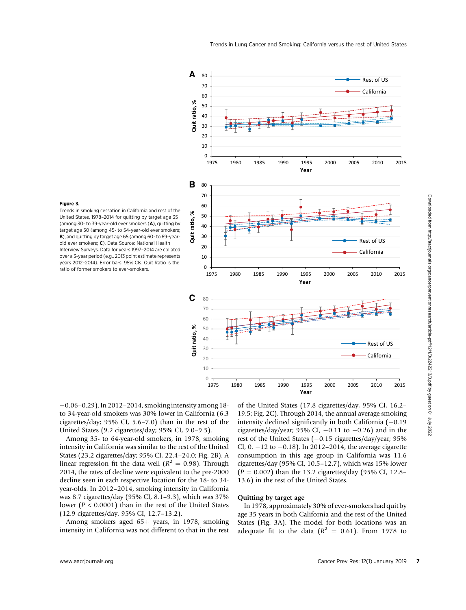

#### Figure 3.

Trends in smoking cessation in California and rest of the United States, 1978–2014 for quitting by target age 35 (among 30- to 39-year-old ever smokers (A), quitting by target age 50 (among 45- to 54-year-old ever smokers; B), and quitting by target age 65 (among 60- to 69-yearold ever smokers; C). Data Source: National Health Interview Surveys. Data for years 1997–2014 are collated over a 3-year period (e.g., 2013 point estimate represents years 2012–2014). Error bars, 95% CIs. Quit Ratio is the ratio of former smokers to ever-smokers.

 $-0.06 - 0.29$ ). In 2012–2014, smoking intensity among 18to 34-year-old smokers was 30% lower in California (6.3 cigarettes/day; 95% CI, 5.6–7.0) than in the rest of the United States (9.2 cigarettes/day; 95% CI, 9.0–9.5).

Among 35- to 64-year-old smokers, in 1978, smoking intensity in California was similar to the rest of the United States (23.2 cigarettes/day; 95% CI, 22.4–24.0; Fig. 2B). A linear regression fit the data well ( $R^2 = 0.98$ ). Through 2014, the rates of decline were equivalent to the pre-2000 decline seen in each respective location for the 18- to 34 year-olds. In 2012–2014, smoking intensity in California was 8.7 cigarettes/day (95% CI, 8.1–9.3), which was 37% lower ( $P < 0.0001$ ) than in the rest of the United States (12.9 cigarettes/day, 95% CI, 12.7–13.2).

Among smokers aged  $65+$  years, in 1978, smoking intensity in California was not different to that in the rest of the United States (17.8 cigarettes/day, 95% CI, 16.2– 19.5; Fig. 2C). Through 2014, the annual average smoking intensity declined significantly in both California  $(-0.19)$ cigarettes/day/year; 95% CI,  $-0.11$  to  $-0.26$ ) and in the rest of the United States  $(-0.15 \text{ eigenttes/day/year}; 95\%$ CI, 0.  $-12$  to  $-0.18$ ). In 2012–2014, the average cigarette consumption in this age group in California was 11.6 cigarettes/day (95% CI, 10.5–12.7), which was 15% lower  $(P = 0.002)$  than the 13.2 cigarettes/day (95% CI, 12.8– 13.6) in the rest of the United States.

## Quitting by target age

In 1978, approximately 30% of ever-smokers had quit by age 35 years in both California and the rest of the United States (Fig. 3A). The model for both locations was an adequate fit to the data  $(R^2 = 0.61)$ . From 1978 to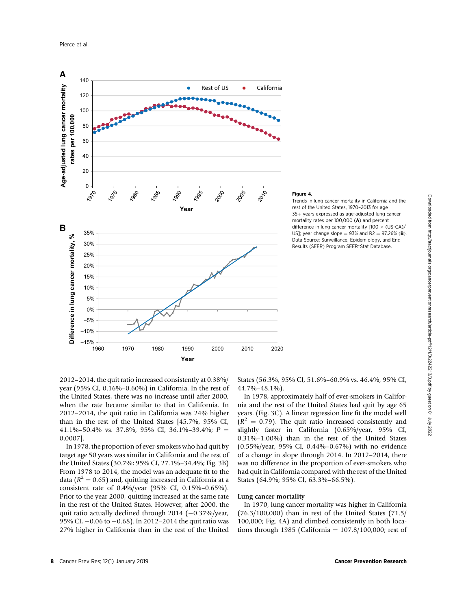

#### Figure 4.

Trends in lung cancer mortality in California and the rest of the United States, 1970–2013 for age  $35+$  years expressed as age-adjusted lung cancer mortality rates per 100,000 (A) and percent difference in lung cancer mortality [100  $\times$  (US-CA)/ US]; year change slope  $= 93\%$  and R2  $= 97.26\%$  (B). Data Source: Surveillance, Epidemiology, and End Results (SEER) Program SEER\*Stat Database.

2012–2014, the quit ratio increased consistently at 0.38%/ year (95% CI, 0.16%–0.60%) in California. In the rest of the United States, there was no increase until after 2000, when the rate became similar to that in California. In 2012–2014, the quit ratio in California was 24% higher than in the rest of the United States [45.7%, 95% CI, 41.1%–50.4% vs. 37.8%, 95% CI, 36.1%–39.4%;  $P =$ 0.0007].

In 1978, the proportion of ever-smokers who had quit by target age 50 years was similar in California and the rest of the United States (30.7%; 95% CI, 27.1%–34.4%; Fig. 3B) From 1978 to 2014, the model was an adequate fit to the data ( $R^2 = 0.65$ ) and, quitting increased in California at a consistent rate of 0.4%/year (95% CI, 0.15%–0.65%). Prior to the year 2000, quitting increased at the same rate in the rest of the United States. However, after 2000, the quit ratio actually declined through  $2014$  (-0.37%/year, 95% CI,  $-0.06$  to  $-0.68$ ). In 2012–2014 the quit ratio was 27% higher in California than in the rest of the United States (56.3%, 95% CI, 51.6%–60.9% vs. 46.4%, 95% CI, 44.7%–48.1%).

In 1978, approximately half of ever-smokers in California and the rest of the United States had quit by age 65 years. (Fig. 3C). A linear regression line fit the model well  $(R^2 = 0.79)$ . The quit ratio increased consistently and slightly faster in California (0.65%/year, 95% CI, 0.31%–1.00%) than in the rest of the United States (0.55%/year, 95% CI, 0.44%–0.67%) with no evidence of a change in slope through 2014. In 2012–2014, there was no difference in the proportion of ever-smokers who had quit in California compared with the rest of the United States (64.9%; 95% CI, 63.3%–66.5%).

## Lung cancer mortality

In 1970, lung cancer mortality was higher in California (76.3/100,000) than in rest of the United States (71.5/ 100,000; Fig. 4A) and climbed consistently in both locations through 1985 (California  $= 107.8/100,000$ ; rest of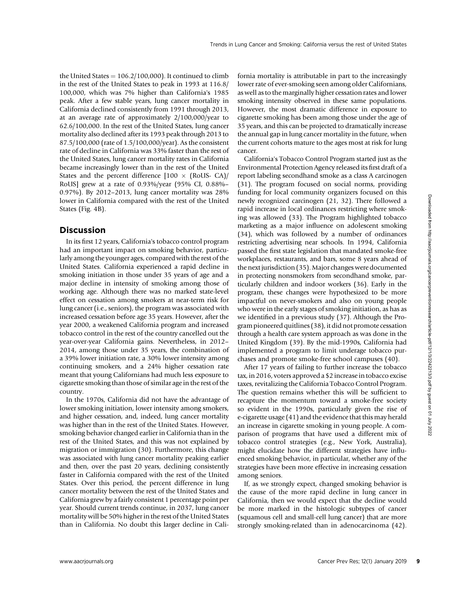the United States  $= 106.2/100,000$ . It continued to climb in the rest of the United States to peak in 1993 at 116.8/ 100,000, which was 7% higher than California's 1985 peak. After a few stable years, lung cancer mortality in California declined consistently from 1991 through 2013, at an average rate of approximately 2/100,000/year to 62.6/100,000. In the rest of the United States, lung cancer mortality also declined after its 1993 peak through 2013 to 87.5/100,000 (rate of 1.5/100,000/year). As the consistent rate of decline in California was 33% faster than the rest of the United States, lung cancer mortality rates in California became increasingly lower than in the rest of the United States and the percent difference  $[100 \times (R_{\text{O}})]$ RoUS] grew at a rate of 0.93%/year (95% CI, 0.88%– 0.97%). By 2012–2013, lung cancer mortality was 28% lower in California compared with the rest of the United States (Fig. 4B).

# **Discussion**

In its first 12 years, California's tobacco control program had an important impact on smoking behavior, particularly among the younger ages, compared with the rest of the United States. California experienced a rapid decline in smoking initiation in those under 35 years of age and a major decline in intensity of smoking among those of working age. Although there was no marked state-level effect on cessation among smokers at near-term risk for lung cancer (i.e., seniors), the program was associated with increased cessation before age 35 years. However, after the year 2000, a weakened California program and increased tobacco control in the rest of the country cancelled out the year-over-year California gains. Nevertheless, in 2012– 2014, among those under 35 years, the combination of a 39% lower initiation rate, a 30% lower intensity among continuing smokers, and a 24% higher cessation rate meant that young Californians had much less exposure to cigarette smoking than those of similar age in the rest of the country.

In the 1970s, California did not have the advantage of lower smoking initiation, lower intensity among smokers, and higher cessation, and, indeed, lung cancer mortality was higher than in the rest of the United States. However, smoking behavior changed earlier in California than in the rest of the United States, and this was not explained by migration or immigration (30). Furthermore, this change was associated with lung cancer mortality peaking earlier and then, over the past 20 years, declining consistently faster in California compared with the rest of the United States. Over this period, the percent difference in lung cancer mortality between the rest of the United States and California grew by a fairly consistent 1 percentage point per year. Should current trends continue, in 2037, lung cancer mortality will be 50% higher in the rest of the United States than in California. No doubt this larger decline in Cali-

fornia mortality is attributable in part to the increasingly lower rate of ever-smoking seen among older Californians, as well as to the marginally higher cessation rates and lower smoking intensity observed in these same populations. However, the most dramatic difference in exposure to cigarette smoking has been among those under the age of 35 years, and this can be projected to dramatically increase the annual gap in lung cancer mortality in the future, when the current cohorts mature to the ages most at risk for lung cancer.

California's Tobacco Control Program started just as the Environmental Protection Agency released its first draft of a report labeling secondhand smoke as a class A carcinogen (31). The program focused on social norms, providing funding for local community organizers focused on this newly recognized carcinogen (21, 32). There followed a rapid increase in local ordinances restricting where smoking was allowed (33). The Program highlighted tobacco marketing as a major influence on adolescent smoking (34), which was followed by a number of ordinances restricting advertising near schools. In 1994, California passed the first state legislation that mandated smoke-free workplaces, restaurants, and bars, some 8 years ahead of the next jurisdiction (35). Major changes were documented in protecting nonsmokers from secondhand smoke, particularly children and indoor workers (36). Early in the program, these changes were hypothesized to be more impactful on never-smokers and also on young people who were in the early stages of smoking initiation, as has as we identified in a previous study (37). Although the Program pioneered quitlines (38), it did not promote cessation through a health care system approach as was done in the United Kingdom (39). By the mid-1990s, California had implemented a program to limit underage tobacco purchases and promote smoke-free school campuses (40).

After 17 years of failing to further increase the tobacco tax, in 2016, voters approved a \$2 increase in tobacco excise taxes, revitalizing the California Tobacco Control Program. The question remains whether this will be sufficient to recapture the momentum toward a smoke-free society so evident in the 1990s, particularly given the rise of e-cigarette usage (41) and the evidence that this may herald an increase in cigarette smoking in young people. A comparison of programs that have used a different mix of tobacco control strategies (e.g., New York, Australia), might elucidate how the different strategies have influenced smoking behavior, in particular, whether any of the strategies have been more effective in increasing cessation among seniors.

If, as we strongly expect, changed smoking behavior is the cause of the more rapid decline in lung cancer in California, then we would expect that the decline would be more marked in the histologic subtypes of cancer (squamous cell and small-cell lung cancer) that are more strongly smoking-related than in adenocarcinoma (42).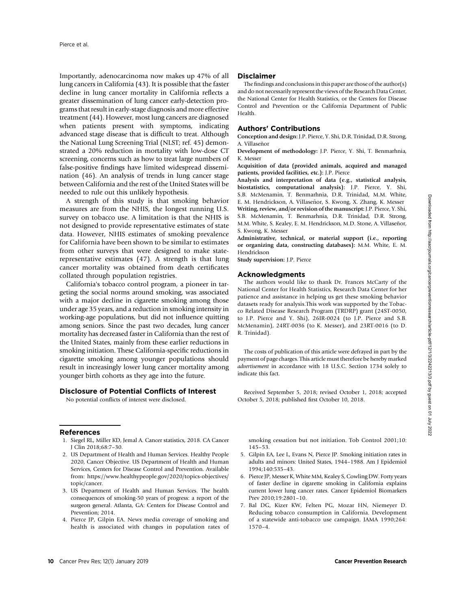Importantly, adenocarcinoma now makes up 47% of all lung cancers in California (43). It is possible that the faster decline in lung cancer mortality in California reflects a greater dissemination of lung cancer early-detection programs that result in early-stage diagnosis and more effective treatment (44). However, most lung cancers are diagnosed when patients present with symptoms, indicating advanced stage disease that is difficult to treat. Although the National Lung Screening Trial (NLST; ref. 45) demonstrated a 20% reduction in mortality with low-dose CT screening, concerns such as how to treat large numbers of false-positive findings have limited widespread dissemination (46). An analysis of trends in lung cancer stage between California and the rest of the United States will be needed to rule out this unlikely hypothesis.

A strength of this study is that smoking behavior measures are from the NHIS, the longest running U.S. survey on tobacco use. A limitation is that the NHIS is not designed to provide representative estimates of state data. However, NHIS estimates of smoking prevalence for California have been shown to be similar to estimates from other surveys that were designed to make staterepresentative estimates (47). A strength is that lung cancer mortality was obtained from death certificates collated through population registries.

California's tobacco control program, a pioneer in targeting the social norms around smoking, was associated with a major decline in cigarette smoking among those under age 35 years, and a reduction in smoking intensity in working-age populations, but did not influence quitting among seniors. Since the past two decades, lung cancer mortality has decreased faster in California than the rest of the United States, mainly from these earlier reductions in smoking initiation. These California-specific reductions in cigarette smoking among younger populations should result in increasingly lower lung cancer mortality among younger birth cohorts as they age into the future.

## Disclosure of Potential Conflicts of Interest

No potential conflicts of interest were disclosed.

# References

- 1. Siegel RL, Miller KD, Jemal A. Cancer statistics, 2018. CA Cancer J Clin 2018;68:7–30.
- 2. US Department of Health and Human Services. Healthy People 2020, Cancer Objective. US Department of Health and Human Services, Centers for Disease Control and Prevention. Available from: [https://www.healthypeople.gov/2020/topics-objectives/](https://www.healthypeople.gov/2020/topics-objectives/topic/cancer) [topic/cancer](https://www.healthypeople.gov/2020/topics-objectives/topic/cancer).
- 3. US Department of Health and Human Services. The health consequences of smoking-50 years of progress: a report of the surgeon general. Atlanta, GA: Centers for Disease Control and Prevention; 2014.
- 4. Pierce JP, Gilpin EA. News media coverage of smoking and health is associated with changes in population rates of

#### Disclaimer

The findings and conclusions in this paper are those of the author(s) and do not necessarily represent the views of the Research Data Center, the National Center for Health Statistics, or the Centers for Disease Control and Prevention or the California Department of Public Health.

# Authors' Contributions

Conception and design: J.P. Pierce, Y. Shi, D.R. Trinidad, D.R. Strong, A. Villaseñor

Development of methodology: J.P. Pierce, Y. Shi, T. Benmarhnia, K. Messer

Acquisition of data (provided animals, acquired and managed patients, provided facilities, etc.): J.P. Pierce

Analysis and interpretation of data (e.g., statistical analysis, biostatistics, computational analysis): J.P. Pierce, Y. Shi, S.B. McMenamin, T. Benmarhnia, D.R. Trinidad, M.M. White, E. M. Hendrickson, A. Villaseñor, S. Kwong, X. Zhang, K. Messer Writing, review, and/or revision of the manuscript: J.P. Pierce, Y. Shi, S.B. McMenamin, T. Benmarhnia, D.R. Trinidad, D.R. Strong, M.M. White, S. Kealey, E. M. Hendrickson, M.D. Stone, A. Villaseñor, S. Kwong, K. Messer

Administrative, technical, or material support (i.e., reporting or organizing data, constructing databases): M.M. White, E. M. Hendrickson

Study supervision: J.P. Pierce

## Acknowledgments

The authors would like to thank Dr. Frances McCarty of the National Center for Health Statistics, Research Data Center for her patience and assistance in helping us get these smoking behavior datasets ready for analysis.This work was supported by the Tobacco Related Disease Research Program (TRDRP) grant (24ST-0050, to J.P. Pierce and Y. Shi), 26IR-0024 (to J.P. Pierce and S.B. McMenamin), 24RT-0036 (to K. Messer), and 23RT-0016 (to D. R. Trinidad).

The costs of publication of this article were defrayed in part by the payment of page charges. This article must therefore be hereby marked advertisement in accordance with 18 U.S.C. Section 1734 solely to indicate this fact.

Received September 5, 2018; revised October 1, 2018; accepted October 5, 2018; published first October 10, 2018.

smoking cessation but not initiation. Tob Control 2001;10: 145–53.

- 5. Gilpin EA, Lee L, Evans N, Pierce JP. Smoking initiation rates in adults and minors: United States, 1944–1988. Am J Epidemiol 1994;140:535–43.
- 6. Pierce JP, Messer K, White MM, Kealey S, Cowling DW. Forty years of faster decline in cigarette smoking in California explains current lower lung cancer rates. Cancer Epidemiol Biomarkers Prev 2010;19:2801–10.
- 7. Bal DG, Kizer KW, Felten PG, Mozar HN, Niemeyer D. Reducing tobacco consumption in California. Development of a statewide anti-tobacco use campaign. JAMA 1990;264: 1570–4.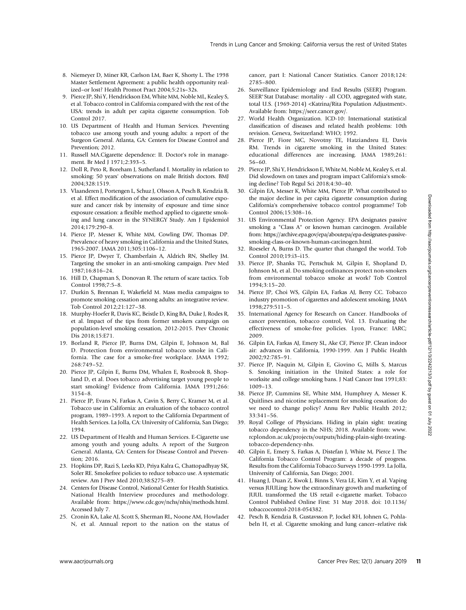- 8. Niemeyer D, Miner KR, Carlson LM, Baer K, Shorty L. The 1998 Master Settlement Agreement: a public health opportunity realized–or lost? Health Promot Pract 2004;5:21s–32s.
- 9. Pierce JP, Shi Y, Hendrickson EM, White MM, Noble ML, Kealey S, et al. Tobacco control in California compared with the rest of the USA: trends in adult per capita cigarette consumption. Tob Control 2017.
- 10. US Department of Health and Human Services. Preventing tobacco use among youth and young adults: a report of the Surgeon General. Atlanta, GA: Centers for Disease Control and Prevention; 2012.
- 11. Russell MA.Cigarette dependence: II. Doctor's role in management. Br Med J 1971;2:393–5.
- 12. Doll R, Peto R, Boreham J, Sutherland I. Mortality in relation to smoking: 50 years' observations on male British doctors. BMJ 2004;328:1519.
- 13. Vlaanderen J, Portengen L, Schuz J, Olsson A, Pesch B, Kendzia B, et al. Effect modification of the association of cumulative exposure and cancer risk by intensity of exposure and time since exposure cessation: a flexible method applied to cigarette smoking and lung cancer in the SYNERGY Study. Am J Epidemiol 2014;179:290–8.
- 14. Pierce JP, Messer K, White MM, Cowling DW, Thomas DP. Prevalence of heavy smoking in California and the United States, 1965-2007. JAMA 2011;305:1106–12.
- 15. Pierce JP, Dwyer T, Chamberlain A, Aldrich RN, Shelley JM. Targeting the smoker in an anti-smoking campaign. Prev Med 1987;16:816–24.
- 16. Hill D, Chapman S, Donovan R. The return of scare tactics. Tob Control 1998;7:5–8.
- 17. Durkin S, Brennan E, Wakefield M. Mass media campaigns to promote smoking cessation among adults: an integrative review. Tob Control 2012;21:127–38.
- 18. Murphy-Hoefer R, Davis KC, Beistle D, King BA, Duke J, Rodes R, et al. Impact of the tips from former smokers campaign on population-level smoking cessation, 2012-2015. Prev Chronic Dis 2018;15:E71.
- 19. Borland R, Pierce JP, Burns DM, Gilpin E, Johnson M, Bal D. Protection from environmental tobacco smoke in California. The case for a smoke-free workplace. JAMA 1992; 268:749–52.
- 20. Pierce JP, Gilpin E, Burns DM, Whalen E, Rosbrook B, Shopland D, et al. Does tobacco advertising target young people to start smoking? Evidence from California. JAMA 1991;266: 3154–8.
- 21. Pierce JP, Evans N, Farkas A, Cavin S, Berry C, Kramer M, et al. Tobacco use in California: an evaluation of the tobacco control program, 1989–1993. A report to the California Department of Health Services. La Jolla, CA: University of California, San Diego; 1994.
- 22. US Department of Health and Human Services. E-Cigarette use among youth and young adults. A report of the Surgeon General. Atlanta, GA: Centers for Disease Control and Prevention; 2016.
- 23. Hopkins DP, Razi S, Leeks KD, Priya Kalra G, Chattopadhyay SK, Soler RE. Smokefree policies to reduce tobacco use. A systematic review. Am J Prev Med 2010;38:S275–89.
- 24. Centers for Disease Control, National Center for Health Statistics. National Health Interview procedures and methodology. Available from:<https://www.cdc.gov/nchs/nhis/methods.html>. Accessed July 7.
- 25. Cronin KA, Lake AJ, Scott S, Sherman RL, Noone AM, Howlader N, et al. Annual report to the nation on the status of

cancer, part I: National Cancer Statistics. Cancer 2018;124: 2785–800.

- 26. Surveillance Epidemiology and End Results (SEER) Program. SEER\*Stat Database: mortality - all COD, aggregated with state, total U.S. (1969-2014) <Katrina/Rita Population Adjustment>. Available from: [https://seer.cancer.gov/.](https://seer.cancer.gov/)
- 27. World Health Organization. ICD-10: International statistical classification of diseases and related health problems: 10th revision. Geneva, Switzerland: WHO; 1992.
- 28. Pierce JP, Fiore MC, Novotny TE, Hatziandreu EJ, Davis RM. Trends in cigarette smoking in the United States: educational differences are increasing. JAMA 1989;261: 56–60.
- 29. Pierce JP, Shi Y, Hendrickson E, White M, Noble M, Kealey S, et al. Did slowdown on taxes and program impact California's smoking decline? Tob Regul Sci 2018;4:30–40.
- 30. Gilpin EA, Messer K, White MM, Pierce JP. What contributed to the major decline in per capita cigarette consumption during California's comprehensive tobacco control programme? Tob Control 2006;15:308–16.
- 31. US Environmental Protection Agency. EPA designates passive smoking a "Class A" or known human carcinogen. Available from: [https://archive.epa.gov/epa/aboutepa/epa-designates-passive](https://archive.epa.gov/epa/aboutepa/epa-designates-passive-smoking-class-or-known-human-carcinogen.html)[smoking-class-or-known-human-carcinogen.html](https://archive.epa.gov/epa/aboutepa/epa-designates-passive-smoking-class-or-known-human-carcinogen.html).
- 32. Roeseler A, Burns D. The quarter that changed the world. Tob Control 2010;19:i3–i15.
- 33. Pierce JP, Shanks TG, Pertschuk M, Gilpin E, Shopland D, Johnson M, et al. Do smoking ordinances protect non-smokers from environmental tobacco smoke at work? Tob Control 1994;3:15–20.
- 34. Pierce JP, Choi WS, Gilpin EA, Farkas AJ, Berry CC. Tobacco industry promotion of cigarettes and adolescent smoking. JAMA 1998;279:511–5.
- 35. International Agency for Research on Cancer. Handbooks of cancer prevention, tobacco control, Vol. 13. Evaluating the effectiveness of smoke-free policies. Lyon, France: IARC; 2009.
- 36. Gilpin EA, Farkas AJ, Emery SL, Ake CF, Pierce JP. Clean indoor air: advances in California, 1990-1999. Am J Public Health 2002;92:785–91.
- 37. Pierce JP, Naquin M, Gilpin E, Giovino G, Mills S, Marcus S. Smoking initiation in the United States: a role for worksite and college smoking bans. J Natl Cancer Inst 1991;83: 1009–13.
- 38. Pierce JP, Cummins SE, White MM, Humphrey A, Messer K. Quitlines and nicotine replacement for smoking cessation: do we need to change policy? Annu Rev Public Health 2012; 33:341–56.
- 39. Royal College of Physicians. Hiding in plain sight: treating tobacco dependency in the NHS; 2018. Available from: [www.](www.rcplondon.ac.uk/projects/outputs/hiding-plain-sight-treating-tobacco-dependency-nhs) [rcplondon.ac.uk/projects/outputs/hiding-plain-sight-treating](www.rcplondon.ac.uk/projects/outputs/hiding-plain-sight-treating-tobacco-dependency-nhs)[tobacco-dependency-nhs.](www.rcplondon.ac.uk/projects/outputs/hiding-plain-sight-treating-tobacco-dependency-nhs)
- 40. Gilpin E, Emery S, Farkas A, Distefan J, White M, Pierce J. The California Tobacco Control Program: a decade of progress. Results from the California Tobacco Surveys 1990-1999. La Jolla, University of California, San Diego; 2001.
- 41. Huang J, Duan Z, Kwok J, Binns S, Vera LE, Kim Y, et al. Vaping versus JUULing: how the extraordinary growth and marketing of JUUL transformed the US retail e-cigarette market. Tobacco Control Published Online First: 31 May 2018. doi: 10.1136/ tobaccocontrol-2018-054382.
- 42. Pesch B, Kendzia B, Gustavsson P, Jockel KH, Johnen G, Pohlabeln H, et al. Cigarette smoking and lung cancer–relative risk